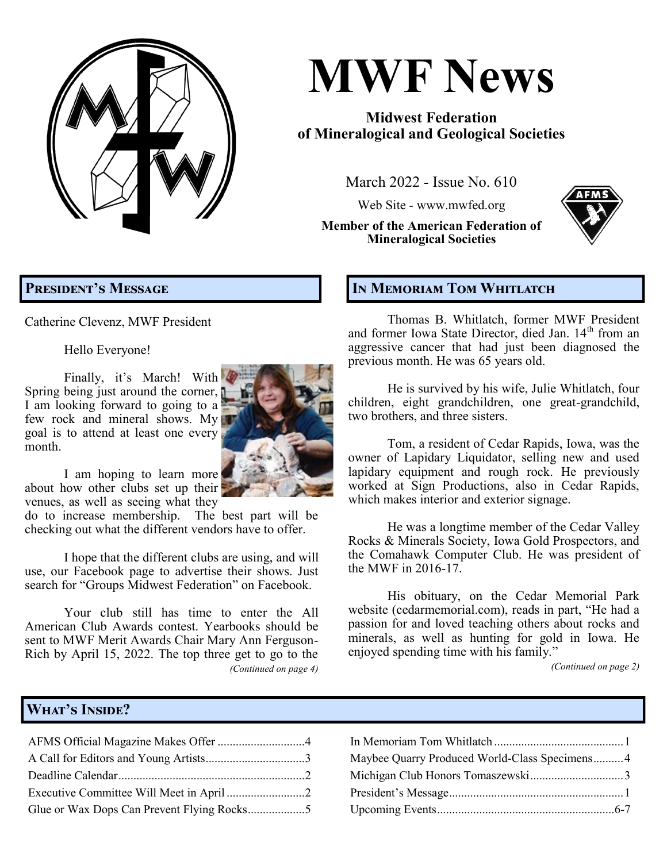**MWF News March 2022, Issue No. 610 Page 1**

# **MWF News**

## **Midwest Federation of Mineralogical and Geological Societies**

March 2022 - Issue No. 610

Web Site - [www.mwfed.org](http://www.amfed.org/mwf)

**Member of the American Federation of Mineralogical Societies**



# **President's Message**

Catherine Clevenz, MWF President

Hello Everyone!

Finally, it's March! With Spring being just around the corner,  $\blacksquare$ I am looking forward to going to a few rock and mineral shows. My goal is to attend at least one every month.



I am hoping to learn more about how other clubs set up their venues, as well as seeing what they

do to increase membership. The best part will be checking out what the different vendors have to offer.

I hope that the different clubs are using, and will use, our Facebook page to advertise their shows. Just search for "Groups Midwest Federation" on Facebook.

Your club still has time to enter the All American Club Awards contest. Yearbooks should be sent to MWF Merit Awards Chair Mary Ann Ferguson-Rich by April 15, 2022. The top three get to go to the *(Continued on page 4)*

### **In Memoriam Tom Whitlatch**

Thomas B. Whitlatch, former MWF President and former Iowa State Director, died Jan. 14<sup>th</sup> from an aggressive cancer that had just been diagnosed the previous month. He was 65 years old.

He is survived by his wife, Julie Whitlatch, four children, eight grandchildren, one great-grandchild, two brothers, and three sisters.

Tom, a resident of Cedar Rapids, Iowa, was the owner of Lapidary Liquidator, selling new and used lapidary equipment and rough rock. He previously worked at Sign Productions, also in Cedar Rapids, which makes interior and exterior signage.

He was a longtime member of the Cedar Valley Rocks & Minerals Society, Iowa Gold Prospectors, and the Comahawk Computer Club. He was president of the MWF in 2016-17.

His obituary, on the Cedar Memorial Park website (cedarmemorial.com), reads in part, "He had a passion for and loved teaching others about rocks and minerals, as well as hunting for gold in Iowa. He enjoyed spending time with his family."

*(Continued on page 2)*

### **What's Inside?**

| Maybee Quarry Produced World-Class Specimens4 |
|-----------------------------------------------|
|                                               |
|                                               |
|                                               |

| Maybee Quarry Produced World-Class Specimens4 |  |
|-----------------------------------------------|--|
|                                               |  |
|                                               |  |
|                                               |  |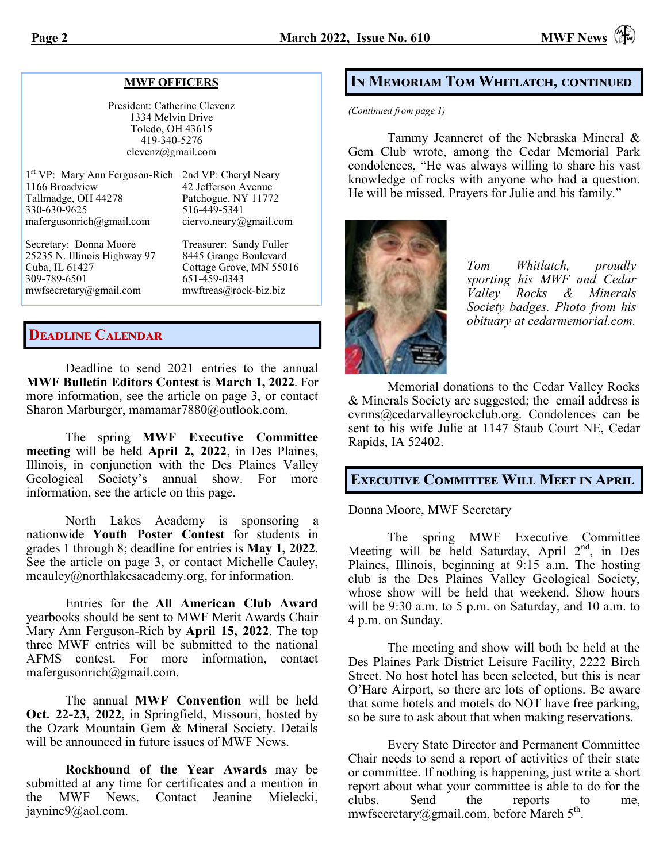### **MWF OFFICERS**

President: Catherine Clevenz 1334 Melvin Drive Toledo, OH 43615 419-340-5276 clevenz@gmail.com

| 1st VP: Mary Ann Ferguson-Rich 2nd VP: Cheryl Neary<br>1166 Broadview<br>Tallmadge, OH 44278<br>330-630-9625<br>mafergusonrich@gmail.com | 42 Jefferson Avenue<br>Patchogue, NY 11772<br>516-449-5341<br>ciervo.neary@gmail.com |
|------------------------------------------------------------------------------------------------------------------------------------------|--------------------------------------------------------------------------------------|
| Secretary: Donna Moore                                                                                                                   | Treasurer: Sandy Fuller                                                              |

25235 N. Illinois Highway 97 8445 Grange Boulevard Cuba, IL 61427 Cottage Grove, MN 55016 309-789-6501 651-459-0343 [mwfsecretary@gmail.com](mailto:mwfsecretary@gmail.com) [mwftreas@rock](mailto:mwftreas@rock-biz.biz)-biz.biz

### **Deadline Calendar**

Deadline to send 2021 entries to the annual **MWF Bulletin Editors Contest** is **March 1, 2022**. For more information, see the article on page 3, or contact Sharon Marburger, [mamamar7880@outlook.com.](mailto:mamamar7880@outlook.com)

The spring **MWF Executive Committee meeting** will be held **April 2, 2022**, in Des Plaines, Illinois, in conjunction with the Des Plaines Valley Geological Society's annual show. For more information, see the article on this page.

North Lakes Academy is sponsoring a nationwide **Youth Poster Contest** for students in grades 1 through 8; deadline for entries is **May 1, 2022**. See the article on page 3, or contact Michelle Cauley, [mcauley@northlakesacademy.org,](mailto:mcauley@northlakesacademy.org) for information.

Entries for the **All American Club Award** yearbooks should be sent to MWF Merit Awards Chair Mary Ann Ferguson-Rich by **April 15, 2022**. The top three MWF entries will be submitted to the national AFMS contest. For more information, contact mafergusonrich@gmail.com.

The annual **MWF Convention** will be held **Oct. 22-23, 2022**, in Springfield, Missouri, hosted by the Ozark Mountain Gem & Mineral Society. Details will be announced in future issues of MWF News.

**Rockhound of the Year Awards** may be submitted at any time for certificates and a mention in the MWF News. Contact Jeanine Mielecki, [jaynine9@aol.com.](mailto:jaynine9@aol.com) 

### **In Memoriam Tom Whitlatch, continued**

*(Continued from page 1)*

Tammy Jeanneret of the Nebraska Mineral & Gem Club wrote, among the Cedar Memorial Park condolences, "He was always willing to share his vast knowledge of rocks with anyone who had a question. He will be missed. Prayers for Julie and his family."



*Tom Whitlatch, proudly sporting his MWF and Cedar Valley Rocks & Minerals Society badges. Photo from his obituary at cedarmemorial.com.*

Memorial donations to the Cedar Valley Rocks & Minerals Society are suggested; the email address is cvrms@cedarvalleyrockclub.org. Condolences can be sent to his wife Julie at 1147 Staub Court NE, Cedar Rapids, IA 52402.

### **Executive Committee Will Meet in April**

Donna Moore, MWF Secretary

The spring MWF Executive Committee Meeting will be held Saturday, April 2<sup>nd</sup>, in Des Plaines, Illinois, beginning at 9:15 a.m. The hosting club is the Des Plaines Valley Geological Society, whose show will be held that weekend. Show hours will be 9:30 a.m. to 5 p.m. on Saturday, and 10 a.m. to 4 p.m. on Sunday.

The meeting and show will both be held at the Des Plaines Park District Leisure Facility, 2222 Birch Street. No host hotel has been selected, but this is near O'Hare Airport, so there are lots of options. Be aware that some hotels and motels do NOT have free parking, so be sure to ask about that when making reservations.

Every State Director and Permanent Committee Chair needs to send a report of activities of their state or committee. If nothing is happening, just write a short report about what your committee is able to do for the clubs. Send the reports to me, [mwfsecretary@gmail.com,](mailto:mwfsecretary@gmail.com) before March  $5^{\text{th}}$ .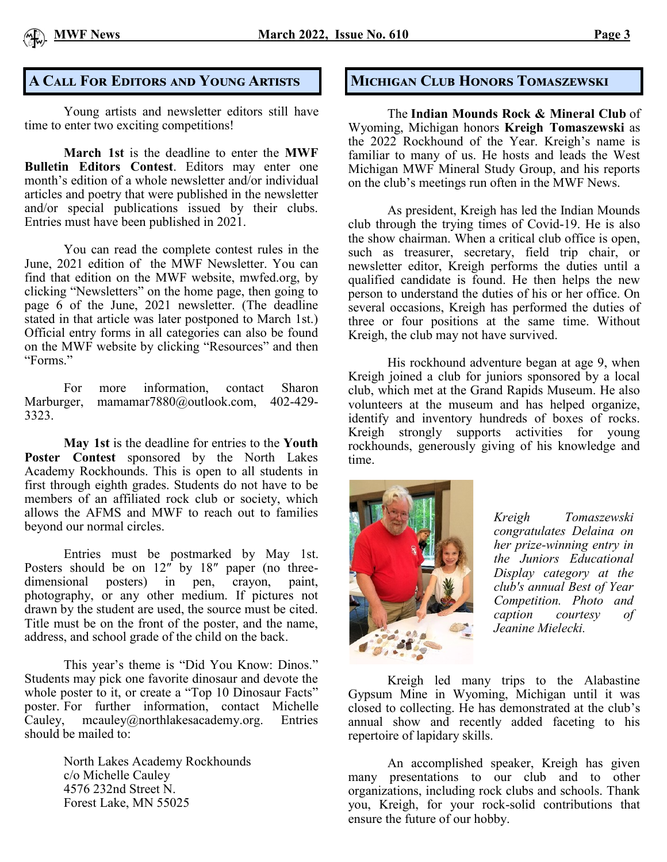

### **A CALL FOR EDITORS AND YOUNG ARTISTS MICHIGAN CLUB HONORS TOMASZEWSKI**

Young artists and newsletter editors still have time to enter two exciting competitions!

**March 1st** is the deadline to enter the **MWF Bulletin Editors Contest**. Editors may enter one month's edition of a whole newsletter and/or individual articles and poetry that were published in the newsletter and/or special publications issued by their clubs. Entries must have been published in 2021.

You can read the complete contest rules in the June, 2021 edition of the MWF Newsletter. You can find that edition on the MWF website, mwfed.org, by clicking "Newsletters" on the home page, then going to page  $\overrightarrow{6}$  of the June, 2021 newsletter. (The deadline stated in that article was later postponed to March 1st.) Official entry forms in all categories can also be found on the MWF website by clicking "Resources" and then "Forms."

For more information, contact Sharon Marburger, mamamar7880@outlook.com, 402-429- 3323.

**May 1st** is the deadline for entries to the **Youth Poster Contest** sponsored by the North Lakes Academy Rockhounds. This is open to all students in first through eighth grades. Students do not have to be members of an affiliated rock club or society, which allows the AFMS and MWF to reach out to families beyond our normal circles.

Entries must be postmarked by May 1st. Posters should be on  $12^{r}$  by  $18^{r}$  paper (no threedimensional posters) in pen, crayon, paint, photography, or any other medium. If pictures not drawn by the student are used, the source must be cited. Title must be on the front of the poster, and the name, address, and school grade of the child on the back.

This year's theme is "Did You Know: Dinos." Students may pick one favorite dinosaur and devote the whole poster to it, or create a "Top 10 Dinosaur Facts" poster. For further information, contact Michelle Cauley, mcauley@northlakesacademy.org. Entries should be mailed to:

> North Lakes Academy Rockhounds c/o Michelle Cauley 4576 232nd Street N. Forest Lake, MN 55025

The **Indian Mounds Rock & Mineral Club** of Wyoming, Michigan honors **Kreigh Tomaszewski** as the 2022 Rockhound of the Year. Kreigh's name is familiar to many of us. He hosts and leads the West Michigan MWF Mineral Study Group, and his reports on the club's meetings run often in the MWF News.

As president, Kreigh has led the Indian Mounds club through the trying times of Covid-19. He is also the show chairman. When a critical club office is open, such as treasurer, secretary, field trip chair, or newsletter editor, Kreigh performs the duties until a qualified candidate is found. He then helps the new person to understand the duties of his or her office. On several occasions, Kreigh has performed the duties of three or four positions at the same time. Without Kreigh, the club may not have survived.

His rockhound adventure began at age 9, when Kreigh joined a club for juniors sponsored by a local club, which met at the Grand Rapids Museum. He also volunteers at the museum and has helped organize, identify and inventory hundreds of boxes of rocks. Kreigh strongly supports activities for young rockhounds, generously giving of his knowledge and time.



*Kreigh Tomaszewski congratulates Delaina on her prize-winning entry in the Juniors Educational Display category at the club's annual Best of Year Competition. Photo and caption courtesy of Jeanine Mielecki.*

Kreigh led many trips to the Alabastine Gypsum Mine in Wyoming, Michigan until it was closed to collecting. He has demonstrated at the club's annual show and recently added faceting to his repertoire of lapidary skills.

An accomplished speaker, Kreigh has given many presentations to our club and to other organizations, including rock clubs and schools. Thank you, Kreigh, for your rock-solid contributions that ensure the future of our hobby.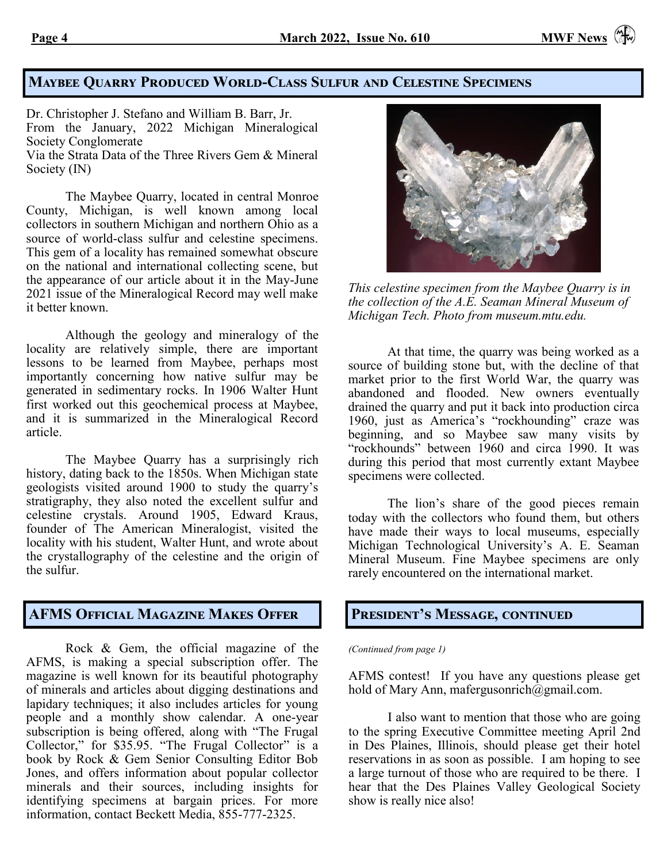### **Maybee Quarry Produced World-Class Sulfur and Celestine Specimens**

Dr. Christopher J. Stefano and William B. Barr, Jr. From the January, 2022 Michigan Mineralogical Society Conglomerate Via the Strata Data of the Three Rivers Gem & Mineral Society (IN)

The Maybee Quarry, located in central Monroe County, Michigan, is well known among local collectors in southern Michigan and northern Ohio as a source of world-class sulfur and celestine specimens. This gem of a locality has remained somewhat obscure on the national and international collecting scene, but the appearance of our article about it in the May-June 2021 issue of the Mineralogical Record may well make it better known.

Although the geology and mineralogy of the locality are relatively simple, there are important lessons to be learned from Maybee, perhaps most importantly concerning how native sulfur may be generated in sedimentary rocks. In 1906 Walter Hunt first worked out this geochemical process at Maybee, and it is summarized in the Mineralogical Record article.

The Maybee Quarry has a surprisingly rich history, dating back to the 1850s. When Michigan state geologists visited around 1900 to study the quarry's stratigraphy, they also noted the excellent sulfur and celestine crystals. Around 1905, Edward Kraus, founder of The American Mineralogist, visited the locality with his student, Walter Hunt, and wrote about the crystallography of the celestine and the origin of the sulfur.

### **AFMS Official Magazine Makes Offer**

Rock & Gem, the official magazine of the AFMS, is making a special subscription offer. The magazine is well known for its beautiful photography of minerals and articles about digging destinations and lapidary techniques; it also includes articles for young people and a monthly show calendar. A one-year subscription is being offered, along with "The Frugal Collector," for \$35.95. "The Frugal Collector" is a book by Rock & Gem Senior Consulting Editor Bob Jones, and offers information about popular collector minerals and their sources, including insights for identifying specimens at bargain prices. For more information, contact Beckett Media, 855-777-2325.



*This celestine specimen from the Maybee Quarry is in the collection of the A.E. Seaman Mineral Museum of Michigan Tech. Photo from museum.mtu.edu.* 

At that time, the quarry was being worked as a source of building stone but, with the decline of that market prior to the first World War, the quarry was abandoned and flooded. New owners eventually drained the quarry and put it back into production circa 1960, just as America's "rockhounding" craze was beginning, and so Maybee saw many visits by "rockhounds" between 1960 and circa 1990. It was during this period that most currently extant Maybee specimens were collected.

The lion's share of the good pieces remain today with the collectors who found them, but others have made their ways to local museums, especially Michigan Technological University's A. E. Seaman Mineral Museum. Fine Maybee specimens are only rarely encountered on the international market.

### **President's Message, continued**

*(Continued from page 1)*

AFMS contest! If you have any questions please get hold of Mary Ann, [mafergusonrich@gmail.com.](mailto:mafergusonrich@gmail.com)

I also want to mention that those who are going to the spring Executive Committee meeting April 2nd in Des Plaines, Illinois, should please get their hotel reservations in as soon as possible. I am hoping to see a large turnout of those who are required to be there. I hear that the Des Plaines Valley Geological Society show is really nice also!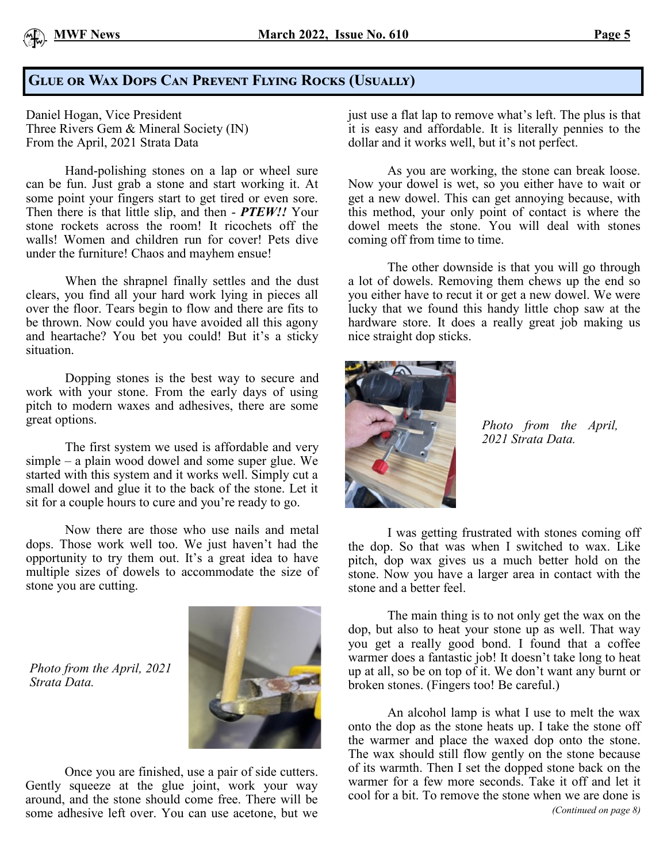

### **Glue or Wax Dops Can Prevent Flying Rocks (Usually)**

Daniel Hogan, Vice President Three Rivers Gem & Mineral Society (IN) From the April, 2021 Strata Data

Hand-polishing stones on a lap or wheel sure can be fun. Just grab a stone and start working it. At some point your fingers start to get tired or even sore. Then there is that little slip, and then - *PTEW!!* Your stone rockets across the room! It ricochets off the walls! Women and children run for cover! Pets dive under the furniture! Chaos and mayhem ensue!

When the shrapnel finally settles and the dust clears, you find all your hard work lying in pieces all over the floor. Tears begin to flow and there are fits to be thrown. Now could you have avoided all this agony and heartache? You bet you could! But it's a sticky situation.

Dopping stones is the best way to secure and work with your stone. From the early days of using pitch to modern waxes and adhesives, there are some great options.

The first system we used is affordable and very simple – a plain wood dowel and some super glue. We started with this system and it works well. Simply cut a small dowel and glue it to the back of the stone. Let it sit for a couple hours to cure and you're ready to go.

Now there are those who use nails and metal dops. Those work well too. We just haven't had the opportunity to try them out. It's a great idea to have multiple sizes of dowels to accommodate the size of stone you are cutting.

Once you are finished, use a pair of side cutters. Gently squeeze at the glue joint, work your way around, and the stone should come free. There will be some adhesive left over. You can use acetone, but we

*Photo from the April, 2021* 

*Strata Data.*

just use a flat lap to remove what's left. The plus is that it is easy and affordable. It is literally pennies to the dollar and it works well, but it's not perfect.

As you are working, the stone can break loose. Now your dowel is wet, so you either have to wait or get a new dowel. This can get annoying because, with this method, your only point of contact is where the dowel meets the stone. You will deal with stones coming off from time to time.

The other downside is that you will go through a lot of dowels. Removing them chews up the end so you either have to recut it or get a new dowel. We were lucky that we found this handy little chop saw at the hardware store. It does a really great job making us nice straight dop sticks.



*Photo from the April, 2021 Strata Data.*

I was getting frustrated with stones coming off the dop. So that was when I switched to wax. Like pitch, dop wax gives us a much better hold on the stone. Now you have a larger area in contact with the stone and a better feel.

The main thing is to not only get the wax on the dop, but also to heat your stone up as well. That way you get a really good bond. I found that a coffee warmer does a fantastic job! It doesn't take long to heat up at all, so be on top of it. We don't want any burnt or broken stones. (Fingers too! Be careful.)

An alcohol lamp is what I use to melt the wax onto the dop as the stone heats up. I take the stone off the warmer and place the waxed dop onto the stone. The wax should still flow gently on the stone because of its warmth. Then I set the dopped stone back on the warmer for a few more seconds. Take it off and let it cool for a bit. To remove the stone when we are done is *(Continued on page 8)*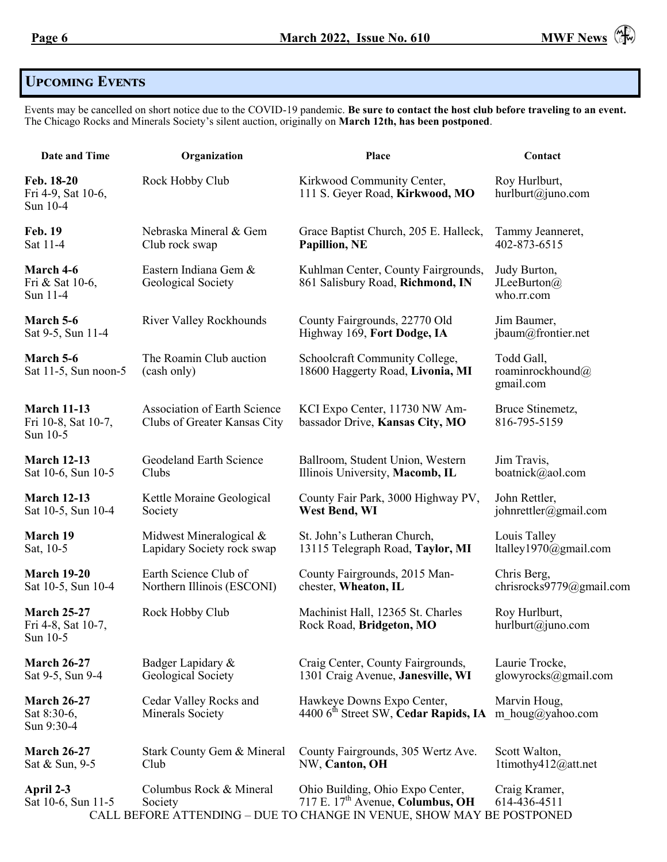# **Upcoming Events**

Events may be cancelled on short notice due to the COVID-19 pandemic. **Be sure to contact the host club before traveling to an event.** The Chicago Rocks and Minerals Society's silent auction, originally on **March 12th, has been postponed**.

| Date and Time                                         | Organization                                                        | Place                                                                                                                                                     | Contact                                                   |
|-------------------------------------------------------|---------------------------------------------------------------------|-----------------------------------------------------------------------------------------------------------------------------------------------------------|-----------------------------------------------------------|
| Feb. 18-20<br>Fri 4-9, Sat 10-6,<br>Sun 10-4          | Rock Hobby Club                                                     | Kirkwood Community Center,<br>111 S. Geyer Road, Kirkwood, MO                                                                                             | Roy Hurlburt,<br>hurlburt@juno.com                        |
| <b>Feb. 19</b>                                        | Nebraska Mineral & Gem                                              | Grace Baptist Church, 205 E. Halleck,                                                                                                                     | Tammy Jeanneret,                                          |
| Sat 11-4                                              | Club rock swap                                                      | Papillion, NE                                                                                                                                             | 402-873-6515                                              |
| March 4-6<br>Fri & Sat 10-6,<br>Sun 11-4              | Eastern Indiana Gem &<br>Geological Society                         | Kuhlman Center, County Fairgrounds,<br>861 Salisbury Road, Richmond, IN                                                                                   | Judy Burton,<br>JLeeBurton( $\widehat{a}$ )<br>who.rr.com |
| March 5-6                                             | <b>River Valley Rockhounds</b>                                      | County Fairgrounds, 22770 Old                                                                                                                             | Jim Baumer,                                               |
| Sat 9-5, Sun 11-4                                     |                                                                     | Highway 169, Fort Dodge, IA                                                                                                                               | jbaum@frontier.net                                        |
| March 5-6<br>Sat $11-5$ , Sun noon-5                  | The Roamin Club auction<br>(cash only)                              | Schoolcraft Community College,<br>18600 Haggerty Road, Livonia, MI                                                                                        | Todd Gall,<br>roaminrockhound@<br>gmail.com               |
| <b>March 11-13</b><br>Fri 10-8, Sat 10-7,<br>Sun 10-5 | <b>Association of Earth Science</b><br>Clubs of Greater Kansas City | KCI Expo Center, 11730 NW Am-<br>bassador Drive, Kansas City, MO                                                                                          | Bruce Stinemetz,<br>816-795-5159                          |
| <b>March 12-13</b>                                    | Geodeland Earth Science                                             | Ballroom, Student Union, Western                                                                                                                          | Jim Travis,                                               |
| Sat 10-6, Sun 10-5                                    | Clubs                                                               | Illinois University, Macomb, IL                                                                                                                           | boatnick@aol.com                                          |
| <b>March 12-13</b>                                    | Kettle Moraine Geological                                           | County Fair Park, 3000 Highway PV,                                                                                                                        | John Rettler,                                             |
| Sat 10-5, Sun 10-4                                    | Society                                                             | West Bend, WI                                                                                                                                             | johnrettler@gmail.com                                     |
| <b>March 19</b>                                       | Midwest Mineralogical &                                             | St. John's Lutheran Church,                                                                                                                               | Louis Talley                                              |
| Sat, 10-5                                             | Lapidary Society rock swap                                          | 13115 Telegraph Road, Taylor, MI                                                                                                                          | ltalley1970@gmail.com                                     |
| <b>March 19-20</b>                                    | Earth Science Club of                                               | County Fairgrounds, 2015 Man-                                                                                                                             | Chris Berg,                                               |
| Sat 10-5, Sun 10-4                                    | Northern Illinois (ESCONI)                                          | chester, Wheaton, IL                                                                                                                                      | chrisrocks9779@gmail.com                                  |
| <b>March 25-27</b><br>Fri 4-8, Sat 10-7,<br>Sun 10-5  | Rock Hobby Club                                                     | Machinist Hall, 12365 St. Charles<br>Rock Road, Bridgeton, MO                                                                                             | Roy Hurlburt,<br>hurlburt@juno.com                        |
| <b>March 26-27</b>                                    | Badger Lapidary &                                                   | Craig Center, County Fairgrounds,                                                                                                                         | Laurie Trocke,                                            |
| Sat 9-5, Sun 9-4                                      | Geological Society                                                  | 1301 Craig Avenue, Janesville, WI                                                                                                                         | glowyrocks@gmail.com                                      |
| <b>March 26-27</b><br>Sat 8:30-6,<br>Sun 9:30-4       | Cedar Valley Rocks and<br><b>Minerals Society</b>                   | Hawkeye Downs Expo Center,<br>4400 6 <sup>th</sup> Street SW, Cedar Rapids, IA                                                                            | Marvin Houg,<br>m houg@yahoo.com                          |
| <b>March 26-27</b>                                    | Stark County Gem & Mineral                                          | County Fairgrounds, 305 Wertz Ave.                                                                                                                        | Scott Walton,                                             |
| Sat & Sun, 9-5                                        | Club                                                                | NW, Canton, OH                                                                                                                                            | 1timothy412@att.net                                       |
| April 2-3<br>Sat 10-6, Sun 11-5                       | Columbus Rock & Mineral<br>Society                                  | Ohio Building, Ohio Expo Center,<br>717 E. 17 <sup>th</sup> Avenue, Columbus, OH<br>CALL BEFORE ATTENDING - DUE TO CHANGE IN VENUE, SHOW MAY BE POSTPONED | Craig Kramer,<br>614-436-4511                             |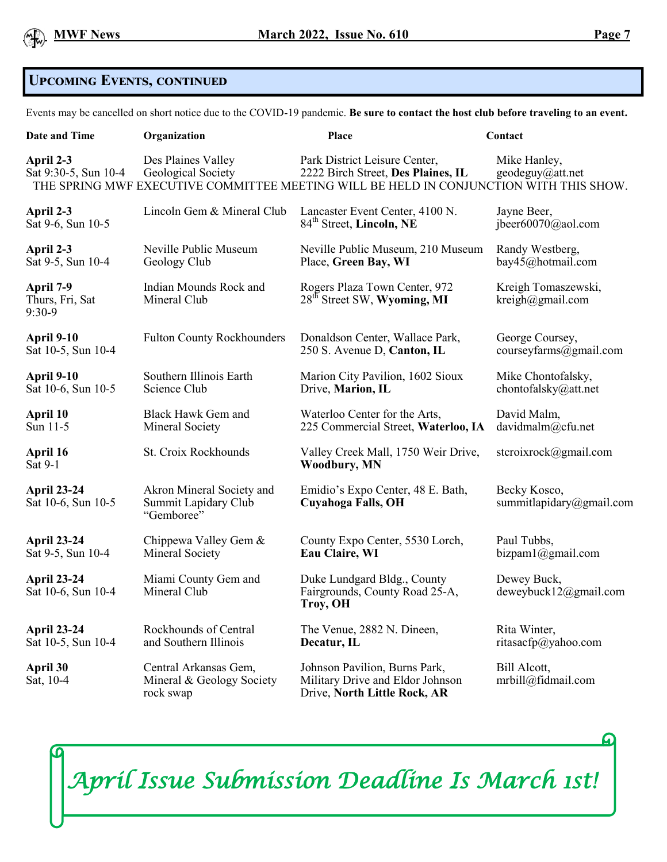

### **Upcoming Events, continued**

Events may be cancelled on short notice due to the COVID-19 pandemic. **Be sure to contact the host club before traveling to an event.**

| <b>Date and Time</b>                     | Organization                                                    | Place                                                                                                                                                         | Contact                                    |
|------------------------------------------|-----------------------------------------------------------------|---------------------------------------------------------------------------------------------------------------------------------------------------------------|--------------------------------------------|
| April 2-3<br>Sat 9:30-5, Sun 10-4        | Des Plaines Valley<br>Geological Society                        | Park District Leisure Center,<br>2222 Birch Street, Des Plaines, IL<br>THE SPRING MWF EXECUTIVE COMMITTEE MEETING WILL BE HELD IN CONJUNCTION WITH THIS SHOW. | Mike Hanley,<br>geodeguy@att.net           |
| April 2-3                                | Lincoln Gem & Mineral Club                                      | Lancaster Event Center, 4100 N.                                                                                                                               | Jayne Beer,                                |
| Sat 9-6, Sun 10-5                        |                                                                 | 84 <sup>th</sup> Street, Lincoln, NE                                                                                                                          | jbeer $60070$ @aol.com                     |
| April 2-3                                | Neville Public Museum                                           | Neville Public Museum, 210 Museum                                                                                                                             | Randy Westberg,                            |
| Sat 9-5, Sun 10-4                        | Geology Club                                                    | Place, Green Bay, WI                                                                                                                                          | bay45@hotmail.com                          |
| April 7-9<br>Thurs, Fri, Sat<br>$9:30-9$ | Indian Mounds Rock and<br>Mineral Club                          | Rogers Plaza Town Center, 972<br>28 <sup>th</sup> Street SW, Wyoming, MI                                                                                      | Kreigh Tomaszewski,<br>$k$ reigh@gmail.com |
| April 9-10                               | <b>Fulton County Rockhounders</b>                               | Donaldson Center, Wallace Park,                                                                                                                               | George Coursey,                            |
| Sat 10-5, Sun 10-4                       |                                                                 | 250 S. Avenue D, Canton, IL                                                                                                                                   | courseyfarms@gmail.com                     |
| April 9-10                               | Southern Illinois Earth                                         | Marion City Pavilion, 1602 Sioux                                                                                                                              | Mike Chontofalsky,                         |
| Sat 10-6, Sun 10-5                       | Science Club                                                    | Drive, Marion, IL                                                                                                                                             | chontofalsky@att.net                       |
| April 10                                 | <b>Black Hawk Gem and</b>                                       | Waterloo Center for the Arts,                                                                                                                                 | David Malm,                                |
| Sun 11-5                                 | Mineral Society                                                 | 225 Commercial Street, Waterloo, IA                                                                                                                           | davidmalm@cfu.net                          |
| April 16<br>Sat 9-1                      | St. Croix Rockhounds                                            | Valley Creek Mall, 1750 Weir Drive,<br><b>Woodbury, MN</b>                                                                                                    | stcroixrock@gmail.com                      |
| <b>April 23-24</b><br>Sat 10-6, Sun 10-5 | Akron Mineral Society and<br>Summit Lapidary Club<br>"Gemboree" | Emidio's Expo Center, 48 E. Bath,<br><b>Cuyahoga Falls, OH</b>                                                                                                | Becky Kosco,<br>summitlapidary@gmail.com   |
| <b>April 23-24</b>                       | Chippewa Valley Gem &                                           | County Expo Center, 5530 Lorch,                                                                                                                               | Paul Tubbs,                                |
| Sat 9-5, Sun 10-4                        | Mineral Society                                                 | Eau Claire, WI                                                                                                                                                | bizpam1@gmail.com                          |
| <b>April 23-24</b><br>Sat 10-6, Sun 10-4 | Miami County Gem and<br>Mineral Club                            | Duke Lundgard Bldg., County<br>Fairgrounds, County Road 25-A,<br>Troy, OH                                                                                     | Dewey Buck,<br>deweybuck12@gmail.com       |
| <b>April 23-24</b>                       | Rockhounds of Central                                           | The Venue, 2882 N. Dineen,                                                                                                                                    | Rita Winter,                               |
| Sat 10-5, Sun 10-4                       | and Southern Illinois                                           | Decatur, IL                                                                                                                                                   | ritasacfp@yahoo.com                        |
| April 30<br>Sat, 10-4                    | Central Arkansas Gem,<br>Mineral & Geology Society<br>rock swap | Johnson Pavilion, Burns Park,<br>Military Drive and Eldor Johnson<br>Drive, North Little Rock, AR                                                             | Bill Alcott,<br>mrbill@fidmail.com         |

*April Issue Submission Deadline Is March 1st!*